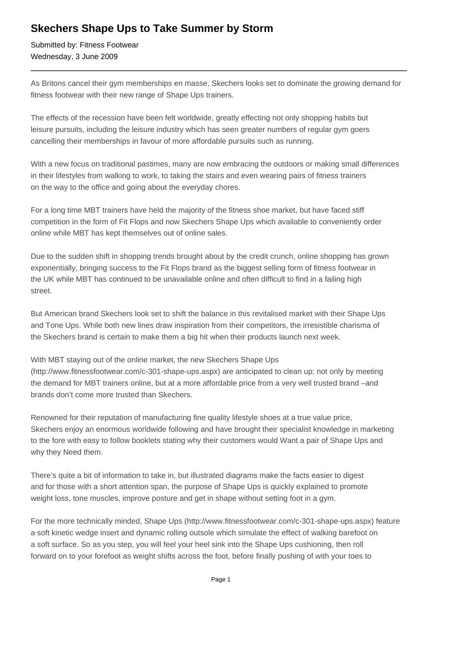## **Skechers Shape Ups to Take Summer by Storm**

Submitted by: Fitness Footwear Wednesday, 3 June 2009

As Britons cancel their gym memberships en masse, Skechers looks set to dominate the growing demand for fitness footwear with their new range of Shape Ups trainers.

The effects of the recession have been felt worldwide, greatly effecting not only shopping habits but leisure pursuits, including the leisure industry which has seen greater numbers of regular gym goers cancelling their memberships in favour of more affordable pursuits such as running.

With a new focus on traditional pastimes, many are now embracing the outdoors or making small differences in their lifestyles from walking to work, to taking the stairs and even wearing pairs of fitness trainers on the way to the office and going about the everyday chores.

For a long time MBT trainers have held the majority of the fitness shoe market, but have faced stiff competition in the form of Fit Flops and now Skechers Shape Ups which available to conveniently order online while MBT has kept themselves out of online sales.

Due to the sudden shift in shopping trends brought about by the credit crunch, online shopping has grown exponentially, bringing success to the Fit Flops brand as the biggest selling form of fitness footwear in the UK while MBT has continued to be unavailable online and often difficult to find in a failing high street.

But American brand Skechers look set to shift the balance in this revitalised market with their Shape Ups and Tone Ups. While both new lines draw inspiration from their competitors, the irresistible charisma of the Skechers brand is certain to make them a big hit when their products launch next week.

With MBT staying out of the online market, the new Skechers Shape Ups (http://www.fitnessfootwear.com/c-301-shape-ups.aspx) are anticipated to clean up; not only by meeting the demand for MBT trainers online, but at a more affordable price from a very well trusted brand –and brands don't come more trusted than Skechers.

Renowned for their reputation of manufacturing fine quality lifestyle shoes at a true value price, Skechers enjoy an enormous worldwide following and have brought their specialist knowledge in marketing to the fore with easy to follow booklets stating why their customers would Want a pair of Shape Ups and why they Need them.

There's quite a bit of information to take in, but illustrated diagrams make the facts easier to digest and for those with a short attention span, the purpose of Shape Ups is quickly explained to promote weight loss, tone muscles, improve posture and get in shape without setting foot in a gym.

For the more technically minded, Shape Ups (http://www.fitnessfootwear.com/c-301-shape-ups.aspx) feature a soft kinetic wedge insert and dynamic rolling outsole which simulate the effect of walking barefoot on a soft surface. So as you step, you will feel your heel sink into the Shape Ups cushioning, then roll forward on to your forefoot as weight shifts across the foot, before finally pushing of with your toes to